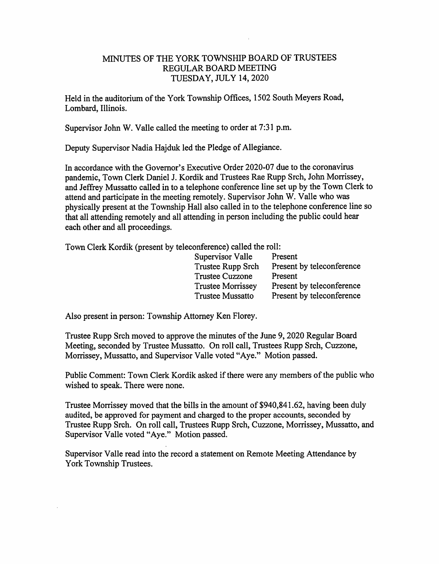## MINUTES OF THE YORK TOWNSHIP BOARD OF TRUSTEES REGULAR BOARD MEETING TUESDAY, JULY 14, 2020

Held in the auditorium of the York Township Offices, 1502 South Meyers Road, Lombard, Illinois.

Supervisor John W. Valle called the meeting to order at 7:31 p.m.

Deputy Supervisor Nadia Hajduk led the Pledge of Allegiance.

In accordance with the Governor's Executive Order 2020-07 due to the coronavirus pandemic. Town Clerk Daniel J. Kordik and Trustees Rae Rupp Srch, John Morrissey, and Jeffrey Mussatto called in to a telephone conference line set up by the Town Clerk to attend and participate in the meeting remotely. Supervisor John W. Valle who was physically present at the Township Hall also called in to the telephone conference line so that all attending remotely and all attending in person including the public could hear each other and all proceedings.

Town Clerk Kordik (present by teleconference) called the roll:

| Supervisor Valle         | Present                   |
|--------------------------|---------------------------|
| Trustee Rupp Srch        | Present by teleconference |
| <b>Trustee Cuzzone</b>   | Present                   |
| <b>Trustee Morrissey</b> | Present by teleconference |
| <b>Trustee Mussatto</b>  | Present by teleconference |

Also present in person: Township Attorney Ken Florey.

Trustee Rupp Srch moved to approve the minutes of the June 9,2020 Regular Board Meeting, seconded by Trustee Mussatto. On roll call. Trustees Rupp Srch, Cuzzone, Morrissey, Mussatto, and Supervisor Valle voted "Aye." Motion passed.

Public Comment: Town Clerk Kordik asked if there were any members of the public who wished to speak. There were none.

Trustee Morrissey moved that the bills in the amount of \$940,841.62, having been duly audited, be approved for payment and charged to the proper accounts, seconded by Trustee Rupp Srch. On roll call. Trustees Rupp Srch, Cuzzone, Morrissey, Mussatto, and Supervisor Valle voted "Aye." Motion passed.

Supervisor Valle read into the record a statement on Remote Meeting Attendance by York Township Trustees.